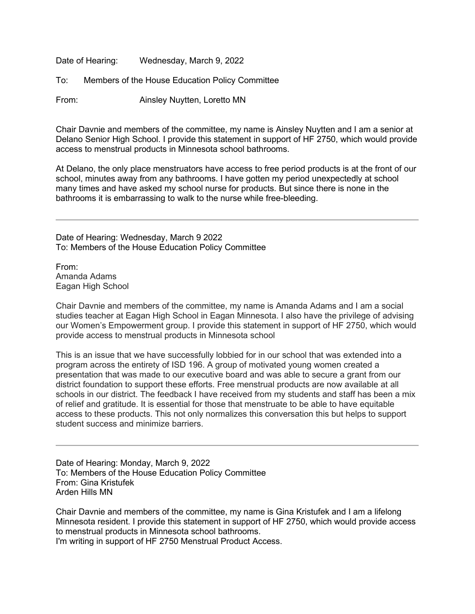Date of Hearing: Wednesday, March 9, 2022

To: Members of the House Education Policy Committee

From: Ainsley Nuytten, Loretto MN

Chair Davnie and members of the committee, my name is Ainsley Nuytten and I am a senior at Delano Senior High School. I provide this statement in support of HF 2750, which would provide access to menstrual products in Minnesota school bathrooms.

At Delano, the only place menstruators have access to free period products is at the front of our school, minutes away from any bathrooms. I have gotten my period unexpectedly at school many times and have asked my school nurse for products. But since there is none in the bathrooms it is embarrassing to walk to the nurse while free-bleeding.

Date of Hearing: Wednesday, March 9 2022 To: Members of the House Education Policy Committee

From: Amanda Adams Eagan High School

Chair Davnie and members of the committee, my name is Amanda Adams and I am a social studies teacher at Eagan High School in Eagan Minnesota. I also have the privilege of advising our Women's Empowerment group. I provide this statement in support of HF 2750, which would provide access to menstrual products in Minnesota school

This is an issue that we have successfully lobbied for in our school that was extended into a program across the entirety of ISD 196. A group of motivated young women created a presentation that was made to our executive board and was able to secure a grant from our district foundation to support these efforts. Free menstrual products are now available at all schools in our district. The feedback I have received from my students and staff has been a mix of relief and gratitude. It is essential for those that menstruate to be able to have equitable access to these products. This not only normalizes this conversation this but helps to support student success and minimize barriers.

Date of Hearing: Monday, March 9, 2022 To: Members of the House Education Policy Committee From: Gina Kristufek Arden Hills MN

Chair Davnie and members of the committee, my name is Gina Kristufek and I am a lifelong Minnesota resident. I provide this statement in support of HF 2750, which would provide access to menstrual products in Minnesota school bathrooms. I'm writing in support of HF 2750 Menstrual Product Access.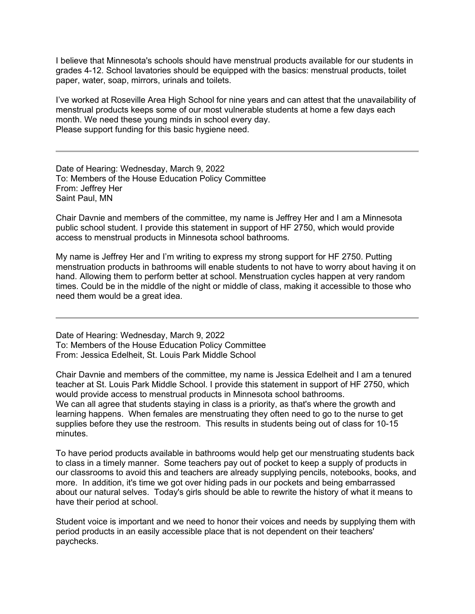I believe that Minnesota's schools should have menstrual products available for our students in grades 4-12. School lavatories should be equipped with the basics: menstrual products, toilet paper, water, soap, mirrors, urinals and toilets.

I've worked at Roseville Area High School for nine years and can attest that the unavailability of menstrual products keeps some of our most vulnerable students at home a few days each month. We need these young minds in school every day. Please support funding for this basic hygiene need.

Date of Hearing: Wednesday, March 9, 2022 To: Members of the House Education Policy Committee From: Jeffrey Her Saint Paul, MN

Chair Davnie and members of the committee, my name is Jeffrey Her and I am a Minnesota public school student. I provide this statement in support of HF 2750, which would provide access to menstrual products in Minnesota school bathrooms.

My name is Jeffrey Her and I'm writing to express my strong support for HF 2750. Putting menstruation products in bathrooms will enable students to not have to worry about having it on hand. Allowing them to perform better at school. Menstruation cycles happen at very random times. Could be in the middle of the night or middle of class, making it accessible to those who need them would be a great idea.

Date of Hearing: Wednesday, March 9, 2022 To: Members of the House Education Policy Committee From: Jessica Edelheit, St. Louis Park Middle School

Chair Davnie and members of the committee, my name is Jessica Edelheit and I am a tenured teacher at St. Louis Park Middle School. I provide this statement in support of HF 2750, which would provide access to menstrual products in Minnesota school bathrooms. We can all agree that students staying in class is a priority, as that's where the growth and learning happens. When females are menstruating they often need to go to the nurse to get supplies before they use the restroom. This results in students being out of class for 10-15 minutes.

To have period products available in bathrooms would help get our menstruating students back to class in a timely manner. Some teachers pay out of pocket to keep a supply of products in our classrooms to avoid this and teachers are already supplying pencils, notebooks, books, and more. In addition, it's time we got over hiding pads in our pockets and being embarrassed about our natural selves. Today's girls should be able to rewrite the history of what it means to have their period at school.

Student voice is important and we need to honor their voices and needs by supplying them with period products in an easily accessible place that is not dependent on their teachers' paychecks.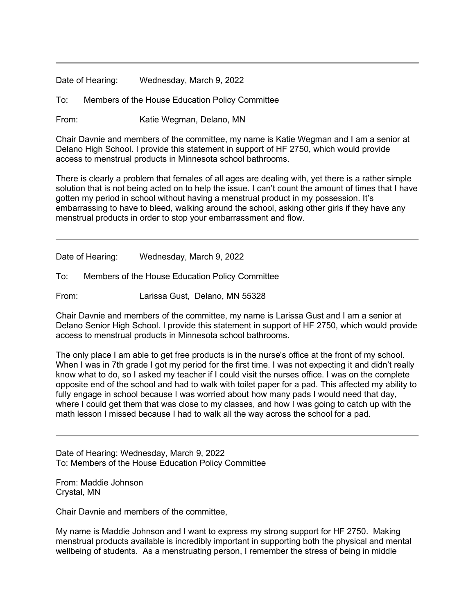Date of Hearing: Wednesday, March 9, 2022

To: Members of the House Education Policy Committee

From: Katie Wegman, Delano, MN

Chair Davnie and members of the committee, my name is Katie Wegman and I am a senior at Delano High School. I provide this statement in support of HF 2750, which would provide access to menstrual products in Minnesota school bathrooms.

There is clearly a problem that females of all ages are dealing with, yet there is a rather simple solution that is not being acted on to help the issue. I can't count the amount of times that I have gotten my period in school without having a menstrual product in my possession. It's embarrassing to have to bleed, walking around the school, asking other girls if they have any menstrual products in order to stop your embarrassment and flow.

Date of Hearing: Wednesday, March 9, 2022

To: Members of the House Education Policy Committee

From: Larissa Gust, Delano, MN 55328

Chair Davnie and members of the committee, my name is Larissa Gust and I am a senior at Delano Senior High School. I provide this statement in support of HF 2750, which would provide access to menstrual products in Minnesota school bathrooms.

The only place I am able to get free products is in the nurse's office at the front of my school. When I was in 7th grade I got my period for the first time. I was not expecting it and didn't really know what to do, so I asked my teacher if I could visit the nurses office. I was on the complete opposite end of the school and had to walk with toilet paper for a pad. This affected my ability to fully engage in school because I was worried about how many pads I would need that day, where I could get them that was close to my classes, and how I was going to catch up with the math lesson I missed because I had to walk all the way across the school for a pad.

Date of Hearing: Wednesday, March 9, 2022 To: Members of the House Education Policy Committee

From: Maddie Johnson Crystal, MN

Chair Davnie and members of the committee,

My name is Maddie Johnson and I want to express my strong support for HF 2750. Making menstrual products available is incredibly important in supporting both the physical and mental wellbeing of students. As a menstruating person, I remember the stress of being in middle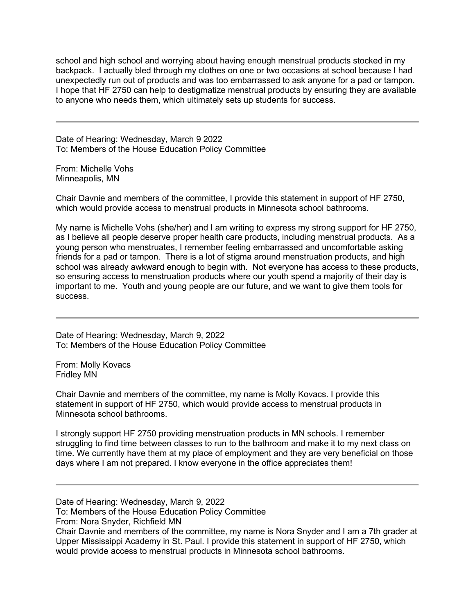school and high school and worrying about having enough menstrual products stocked in my backpack. I actually bled through my clothes on one or two occasions at school because I had unexpectedly run out of products and was too embarrassed to ask anyone for a pad or tampon. I hope that HF 2750 can help to destigmatize menstrual products by ensuring they are available to anyone who needs them, which ultimately sets up students for success.

Date of Hearing: Wednesday, March 9 2022 To: Members of the House Education Policy Committee

From: Michelle Vohs Minneapolis, MN

Chair Davnie and members of the committee, I provide this statement in support of HF 2750, which would provide access to menstrual products in Minnesota school bathrooms.

My name is Michelle Vohs (she/her) and I am writing to express my strong support for HF 2750, as I believe all people deserve proper health care products, including menstrual products. As a young person who menstruates, I remember feeling embarrassed and uncomfortable asking friends for a pad or tampon. There is a lot of stigma around menstruation products, and high school was already awkward enough to begin with. Not everyone has access to these products, so ensuring access to menstruation products where our youth spend a majority of their day is important to me. Youth and young people are our future, and we want to give them tools for success.

Date of Hearing: Wednesday, March 9, 2022 To: Members of the House Education Policy Committee

From: Molly Kovacs Fridley MN

Chair Davnie and members of the committee, my name is Molly Kovacs. I provide this statement in support of HF 2750, which would provide access to menstrual products in Minnesota school bathrooms.

I strongly support HF 2750 providing menstruation products in MN schools. I remember struggling to find time between classes to run to the bathroom and make it to my next class on time. We currently have them at my place of employment and they are very beneficial on those days where I am not prepared. I know everyone in the office appreciates them!

Date of Hearing: Wednesday, March 9, 2022

To: Members of the House Education Policy Committee

From: Nora Snyder, Richfield MN

Chair Davnie and members of the committee, my name is Nora Snyder and I am a 7th grader at Upper Mississippi Academy in St. Paul. I provide this statement in support of HF 2750, which would provide access to menstrual products in Minnesota school bathrooms.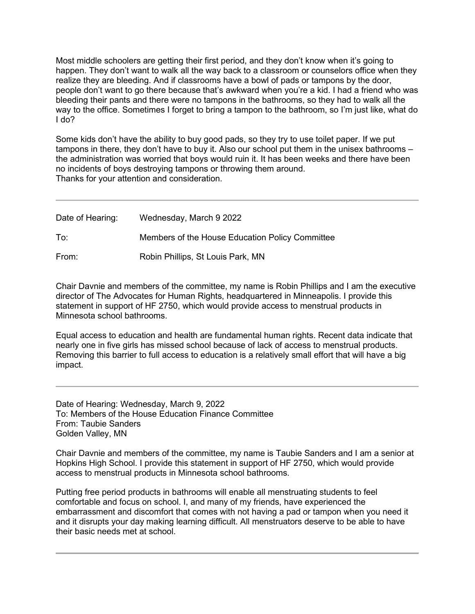Most middle schoolers are getting their first period, and they don't know when it's going to happen. They don't want to walk all the way back to a classroom or counselors office when they realize they are bleeding. And if classrooms have a bowl of pads or tampons by the door, people don't want to go there because that's awkward when you're a kid. I had a friend who was bleeding their pants and there were no tampons in the bathrooms, so they had to walk all the way to the office. Sometimes I forget to bring a tampon to the bathroom, so I'm just like, what do I do?

Some kids don't have the ability to buy good pads, so they try to use toilet paper. If we put tampons in there, they don't have to buy it. Also our school put them in the unisex bathrooms – the administration was worried that boys would ruin it. It has been weeks and there have been no incidents of boys destroying tampons or throwing them around. Thanks for your attention and consideration.

| Date of Hearing: | Wednesday, March 9 2022                         |
|------------------|-------------------------------------------------|
| To∶              | Members of the House Education Policy Committee |
| From:            | Robin Phillips, St Louis Park, MN               |

Chair Davnie and members of the committee, my name is Robin Phillips and I am the executive director of The Advocates for Human Rights, headquartered in Minneapolis. I provide this statement in support of HF 2750, which would provide access to menstrual products in Minnesota school bathrooms.

Equal access to education and health are fundamental human rights. Recent data indicate that nearly one in five girls has missed school because of lack of access to menstrual products. Removing this barrier to full access to education is a relatively small effort that will have a big impact.

Date of Hearing: Wednesday, March 9, 2022 To: Members of the House Education Finance Committee From: Taubie Sanders Golden Valley, MN

Chair Davnie and members of the committee, my name is Taubie Sanders and I am a senior at Hopkins High School. I provide this statement in support of HF 2750, which would provide access to menstrual products in Minnesota school bathrooms.

Putting free period products in bathrooms will enable all menstruating students to feel comfortable and focus on school. I, and many of my friends, have experienced the embarrassment and discomfort that comes with not having a pad or tampon when you need it and it disrupts your day making learning difficult. All menstruators deserve to be able to have their basic needs met at school.